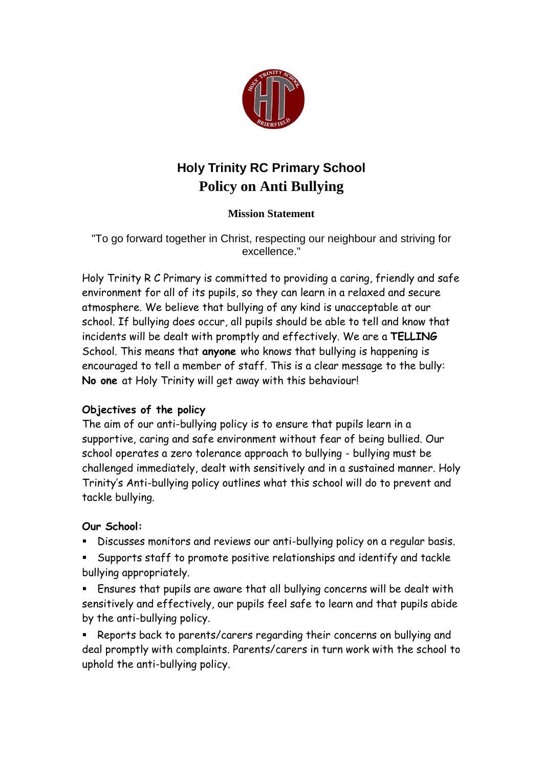

# **Holy Trinity RC Primary School Policy on Anti Bullying**

## **Mission Statement**

"To go forward together in Christ, respecting our neighbour and striving for excellence."

Holy Trinity R C Primary is committed to providing a caring, friendly and safe environment for all of its pupils, so they can learn in a relaxed and secure atmosphere. We believe that bullying of any kind is unacceptable at our school. If bullying does occur, all pupils should be able to tell and know that incidents will be dealt with promptly and effectively. We are a **TELLING**  School. This means that **anyone** who knows that bullying is happening is encouraged to tell a member of staff. This is a clear message to the bully: **No one** at Holy Trinity will get away with this behaviour!

## **Objectives of the policy**

The aim of our anti-bullying policy is to ensure that pupils learn in a supportive, caring and safe environment without fear of being bullied. Our school operates a zero tolerance approach to bullying - bullying must be challenged immediately, dealt with sensitively and in a sustained manner. Holy Trinity's Anti-bullying policy outlines what this school will do to prevent and tackle bullying.

## **Our School:**

- Discusses monitors and reviews our anti-bullying policy on a regular basis.
- Supports staff to promote positive relationships and identify and tackle bullying appropriately.
- Ensures that pupils are aware that all bullying concerns will be dealt with sensitively and effectively, our pupils feel safe to learn and that pupils abide by the anti-bullying policy.
- Reports back to parents/carers regarding their concerns on bullying and deal promptly with complaints. Parents/carers in turn work with the school to uphold the anti-bullying policy.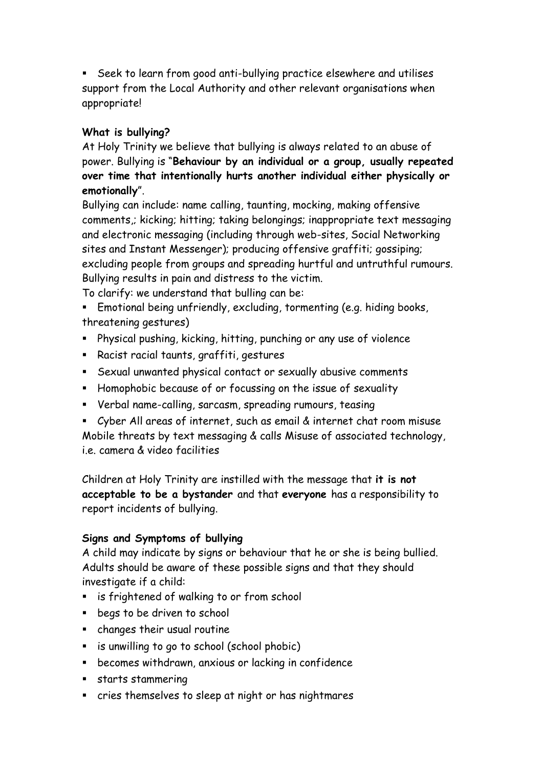Seek to learn from good anti-bullying practice elsewhere and utilises support from the Local Authority and other relevant organisations when appropriate!

## **What is bullying?**

At Holy Trinity we believe that bullying is always related to an abuse of power. Bullying is "**Behaviour by an individual or a group, usually repeated over time that intentionally hurts another individual either physically or emotionally**".

Bullying can include: name calling, taunting, mocking, making offensive comments,; kicking; hitting; taking belongings; inappropriate text messaging and electronic messaging (including through web-sites, Social Networking sites and Instant Messenger); producing offensive graffiti; gossiping; excluding people from groups and spreading hurtful and untruthful rumours. Bullying results in pain and distress to the victim.

To clarify: we understand that bulling can be:

- Emotional being unfriendly, excluding, tormenting (e.g. hiding books, threatening gestures)
- Physical pushing, kicking, hitting, punching or any use of violence
- Racist racial taunts, graffiti, gestures
- Sexual unwanted physical contact or sexually abusive comments
- Homophobic because of or focussing on the issue of sexuality
- Verbal name-calling, sarcasm, spreading rumours, teasing
- Cyber All areas of internet, such as email & internet chat room misuse Mobile threats by text messaging & calls Misuse of associated technology, i.e. camera & video facilities

Children at Holy Trinity are instilled with the message that **it is not acceptable to be a bystander** and that **everyone** has a responsibility to report incidents of bullying.

## **Signs and Symptoms of bullying**

A child may indicate by signs or behaviour that he or she is being bullied. Adults should be aware of these possible signs and that they should investigate if a child:

- **EXED:** is frightened of walking to or from school
- **begs to be driven to school**
- changes their usual routine
- is unwilling to go to school (school phobic)
- becomes withdrawn, anxious or lacking in confidence
- **starts stammering**
- cries themselves to sleep at night or has nightmares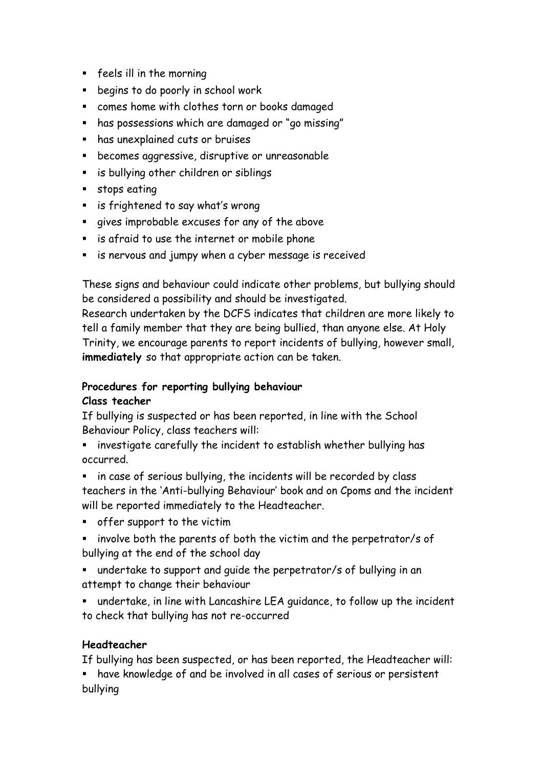- feels ill in the morning
- **E** begins to do poorly in school work
- comes home with clothes torn or books damaged
- has possessions which are damaged or "go missing"
- has unexplained cuts or bruises
- becomes aggressive, disruptive or unreasonable
- **E** is bullying other children or siblings
- stops eating
- is frightened to say what's wrong
- gives improbable excuses for any of the above
- is afraid to use the internet or mobile phone
- **EXT** is nervous and jumpy when a cyber message is received

These signs and behaviour could indicate other problems, but bullying should be considered a possibility and should be investigated.

Research undertaken by the DCFS indicates that children are more likely to tell a family member that they are being bullied, than anyone else. At Holy Trinity, we encourage parents to report incidents of bullying, however small, **immediately** so that appropriate action can be taken.

#### **Procedures for reporting bullying behaviour Class teacher**

If bullying is suspected or has been reported, in line with the School Behaviour Policy, class teachers will:

**EXTE:** investigate carefully the incident to establish whether bullying has occurred.

**EXT** in case of serious bullying, the incidents will be recorded by class teachers in the 'Anti-bullying Behaviour' book and on Cpoms and the incident will be reported immediately to the Headteacher.

- offer support to the victim
- **EX involve both the parents of both the victim and the perpetrator/s of** bullying at the end of the school day
- undertake to support and guide the perpetrator/s of bullying in an attempt to change their behaviour
- undertake, in line with Lancashire LEA guidance, to follow up the incident to check that bullying has not re-occurred

## **Headteacher**

If bullying has been suspected, or has been reported, the Headteacher will:

 have knowledge of and be involved in all cases of serious or persistent bullying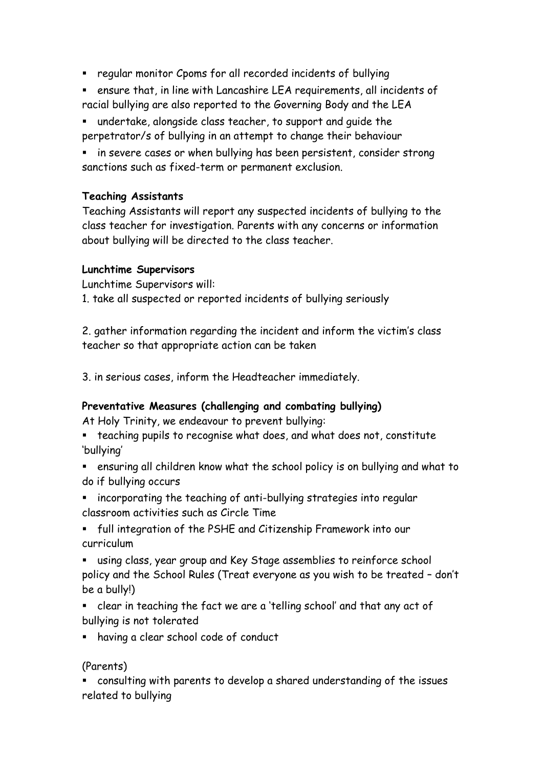- regular monitor Cpoms for all recorded incidents of bullying
- ensure that, in line with Lancashire LEA requirements, all incidents of racial bullying are also reported to the Governing Body and the LEA

 undertake, alongside class teacher, to support and guide the perpetrator/s of bullying in an attempt to change their behaviour

**EXT** in severe cases or when bullying has been persistent, consider strong sanctions such as fixed-term or permanent exclusion.

#### **Teaching Assistants**

Teaching Assistants will report any suspected incidents of bullying to the class teacher for investigation. Parents with any concerns or information about bullying will be directed to the class teacher.

#### **Lunchtime Supervisors**

Lunchtime Supervisors will:

1. take all suspected or reported incidents of bullying seriously

2. gather information regarding the incident and inform the victim's class teacher so that appropriate action can be taken

3. in serious cases, inform the Headteacher immediately.

## **Preventative Measures (challenging and combating bullying)**

At Holy Trinity, we endeavour to prevent bullying:

- teaching pupils to recognise what does, and what does not, constitute 'bullying'
- ensuring all children know what the school policy is on bullying and what to do if bullying occurs
- incorporating the teaching of anti-bullying strategies into regular classroom activities such as Circle Time
- full integration of the PSHE and Citizenship Framework into our curriculum

 using class, year group and Key Stage assemblies to reinforce school policy and the School Rules (Treat everyone as you wish to be treated – don't be a bully!)

- clear in teaching the fact we are a 'telling school' and that any act of bullying is not tolerated
- having a clear school code of conduct

## (Parents)

 consulting with parents to develop a shared understanding of the issues related to bullying